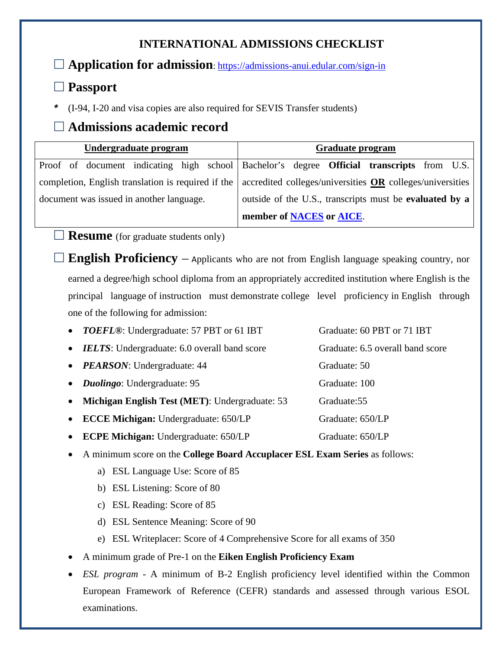## **INTERNATIONAL ADMISSIONS CHECKLIST**

**Application for admission**:<https://admissions-anui.edular.com/sign-in>

## **Passport**

*\** (I-94, I-20 and visa copies are also required for SEVIS Transfer students)

## **Admissions academic record**

| Undergraduate program                              | <b>Graduate program</b>                                                                          |  |
|----------------------------------------------------|--------------------------------------------------------------------------------------------------|--|
|                                                    | Proof of document indicating high school Bachelor's degree <b>Official transcripts</b> from U.S. |  |
| completion, English translation is required if the | accredited colleges/universities OR colleges/universities                                        |  |
| document was issued in another language.           | outside of the U.S., transcripts must be evaluated by a                                          |  |
|                                                    | member of NACES or AICE.                                                                         |  |

**Resume** (for graduate students only)

**English Proficiency** – Applicants who are not from English language speaking country, nor earned a degree/high school diploma from an appropriately accredited institution where English is the principal language of instruction must demonstrate college level proficiency in English through one of the following for admission:

|           | • TOEFL®: Undergraduate: 57 PBT or 61 IBT           | Graduate: 60 PBT or 71 IBT       |
|-----------|-----------------------------------------------------|----------------------------------|
| $\bullet$ | <b>IELTS:</b> Undergraduate: 6.0 overall band score | Graduate: 6.5 overall band score |
|           | • PEARSON: Undergraduate: 44                        | Graduate: 50                     |
|           | • <i>Duolingo</i> : Undergraduate: 95               | Graduate: 100                    |
| $\bullet$ | Michigan English Test (MET): Undergraduate: 53      | Graduate: 55                     |
| $\bullet$ | <b>ECCE Michigan:</b> Undergraduate: 650/LP         | Graduate: 650/LP                 |
| $\bullet$ | <b>ECPE Michigan: Undergraduate: 650/LP</b>         | Graduate: 650/LP                 |

- A minimum score on the **College Board Accuplacer ESL Exam Series** as follows:
	- a) ESL Language Use: Score of 85
	- b) ESL Listening: Score of 80
	- c) ESL Reading: Score of 85
	- d) ESL Sentence Meaning: Score of 90
	- e) ESL Writeplacer: Score of 4 Comprehensive Score for all exams of 350
- A minimum grade of Pre-1 on the **Eiken English Proficiency Exam**
- *ESL program* A minimum of B-2 English proficiency level identified within the Common European Framework of Reference (CEFR) standards and assessed through various ESOL examinations.